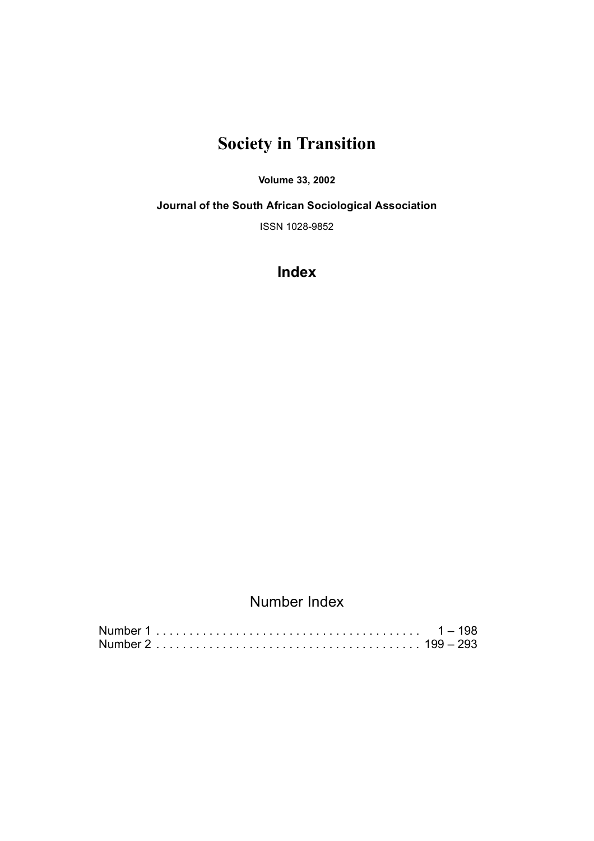# **Society in Transition**

#### **Volume 33, 2002**

**Journal of the South African Sociological Association**

ISSN 1028-9852

**Index**

### Number Index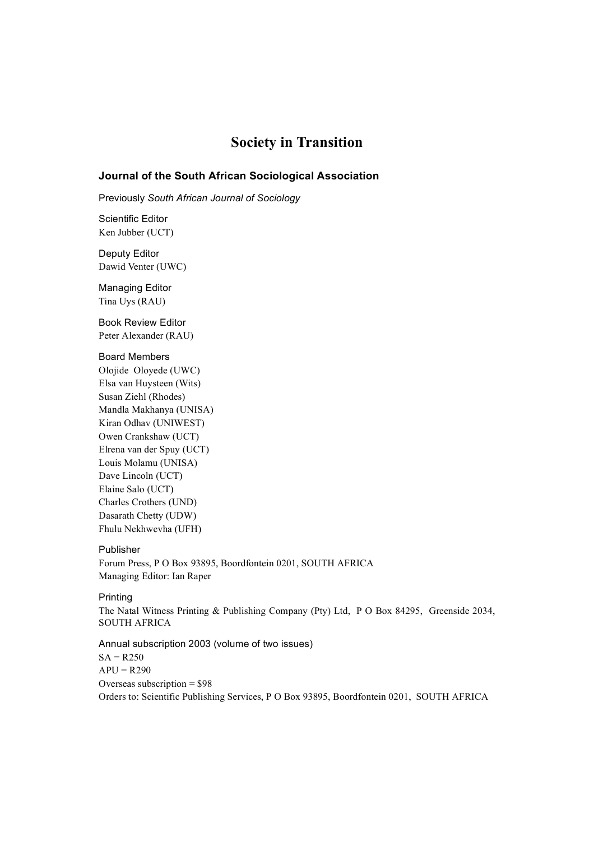### **Society in Transition**

#### **Journal of the South African Sociological Association**

Previously *South African Journal of Sociology*

Scientific Editor Ken Jubber (UCT)

Deputy Editor Dawid Venter (UWC)

Managing Editor Tina Uys (RAU)

Book Review Editor Peter Alexander (RAU)

#### Board Members

Olojide Oloyede (UWC) Elsa van Huysteen (Wits) Susan Ziehl (Rhodes) Mandla Makhanya (UNISA) Kiran Odhav (UNIWEST) Owen Crankshaw (UCT) Elrena van der Spuy (UCT) Louis Molamu (UNISA) Dave Lincoln (UCT) Elaine Salo (UCT) Charles Crothers (UND) Dasarath Chetty (UDW) Fhulu Nekhwevha (UFH)

#### Publisher

Forum Press, P O Box 93895, Boordfontein 0201, SOUTH AFRICA Managing Editor: Ian Raper

#### Printing

The Natal Witness Printing & Publishing Company (Pty) Ltd, P O Box 84295, Greenside 2034, SOUTH AFRICA

Annual subscription 2003 (volume of two issues)  $SA = R250$  $APU = R290$ Overseas subscription = \$98 Orders to: Scientific Publishing Services, P O Box 93895, Boordfontein 0201, SOUTH AFRICA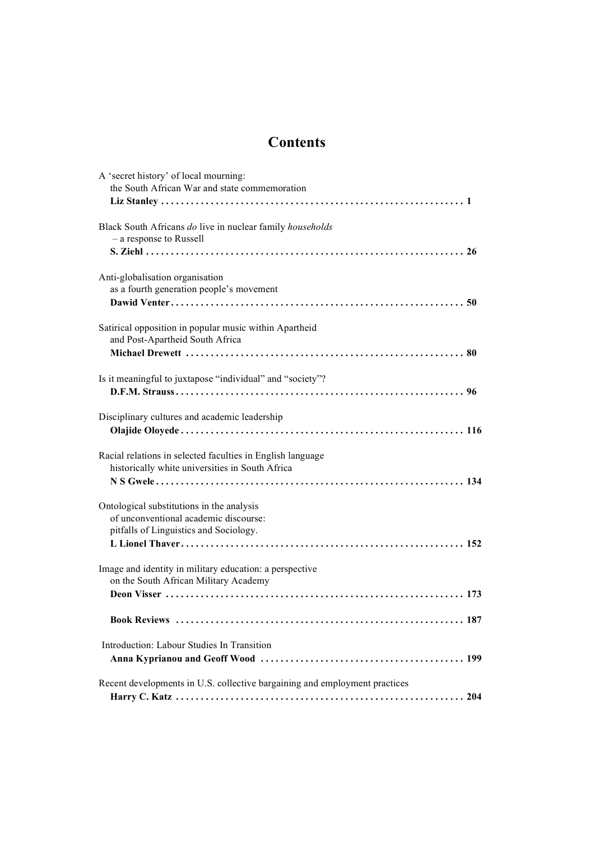## **Contents**

| A 'secret history' of local mourning:<br>the South African War and state commemoration                                       |
|------------------------------------------------------------------------------------------------------------------------------|
| Black South Africans do live in nuclear family households<br>- a response to Russell                                         |
| Anti-globalisation organisation<br>as a fourth generation people's movement                                                  |
| Satirical opposition in popular music within Apartheid<br>and Post-Apartheid South Africa                                    |
| Is it meaningful to juxtapose "individual" and "society"?                                                                    |
| Disciplinary cultures and academic leadership                                                                                |
| Racial relations in selected faculties in English language<br>historically white universities in South Africa                |
| Ontological substitutions in the analysis<br>of unconventional academic discourse:<br>pitfalls of Linguistics and Sociology. |
| Image and identity in military education: a perspective<br>on the South African Military Academy                             |
| 187<br><b>Book Reviews</b>                                                                                                   |
| Introduction: Labour Studies In Transition                                                                                   |
| Recent developments in U.S. collective bargaining and employment practices                                                   |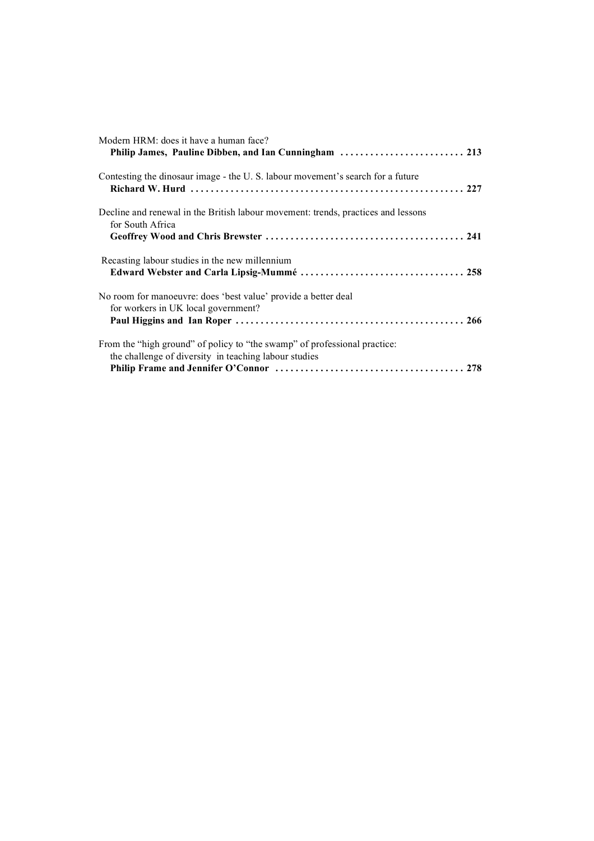| Modern HRM: does it have a human face?                                                                                             |
|------------------------------------------------------------------------------------------------------------------------------------|
| Contesting the dinosaur image - the U.S. labour movement's search for a future                                                     |
| Decline and renewal in the British labour movement: trends, practices and lessons<br>for South Africa                              |
| Recasting labour studies in the new millennium                                                                                     |
| No room for manoeuvre: does 'best value' provide a better deal<br>for workers in UK local government?                              |
| From the "high ground" of policy to "the swamp" of professional practice:<br>the challenge of diversity in teaching labour studies |